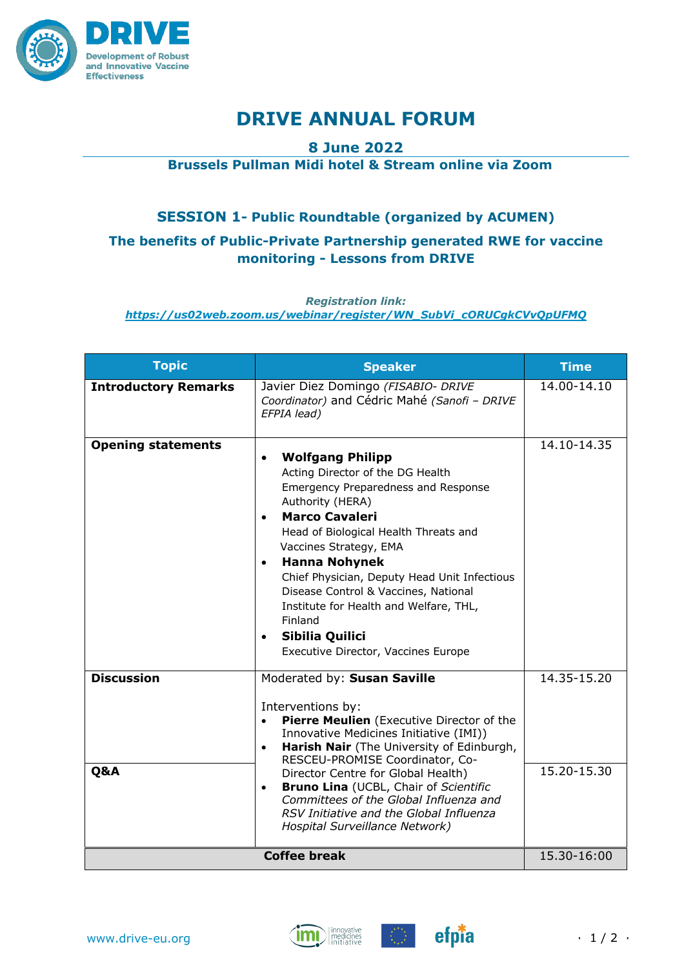

# **DRIVE ANNUAL FORUM**

## **8 June 2022**

# **Brussels Pullman Midi hotel & Stream online via Zoom**

# **SESSION 1- Public Roundtable (organized by ACUMEN)**

# **The benefits of Public-Private Partnership generated RWE for vaccine monitoring - Lessons from DRIVE**

#### *Registration link:*

*https://us02web.zoom.us/webinar/register/WN\_SubVi\_cORUCgkCVvQpUFMQ*

| <b>Topic</b>                | <b>Speaker</b>                                                                                                                                                                                                                                                                                                                                                                                                                                                                           | <b>Time</b>                    |
|-----------------------------|------------------------------------------------------------------------------------------------------------------------------------------------------------------------------------------------------------------------------------------------------------------------------------------------------------------------------------------------------------------------------------------------------------------------------------------------------------------------------------------|--------------------------------|
| <b>Introductory Remarks</b> | Javier Diez Domingo (FISABIO- DRIVE<br>Coordinator) and Cédric Mahé (Sanofi - DRIVE<br>EFPIA lead)                                                                                                                                                                                                                                                                                                                                                                                       | 14.00-14.10                    |
| <b>Opening statements</b>   | <b>Wolfgang Philipp</b><br>$\bullet$<br>Acting Director of the DG Health<br>Emergency Preparedness and Response<br>Authority (HERA)<br><b>Marco Cavaleri</b><br>Head of Biological Health Threats and<br>Vaccines Strategy, EMA<br><b>Hanna Nohynek</b><br>$\bullet$<br>Chief Physician, Deputy Head Unit Infectious<br>Disease Control & Vaccines, National<br>Institute for Health and Welfare, THL,<br>Finland<br>Sibilia Quilici<br>$\bullet$<br>Executive Director, Vaccines Europe | 14.10-14.35                    |
| <b>Discussion</b><br>Q&A    | Moderated by: Susan Saville<br>Interventions by:<br>Pierre Meulien (Executive Director of the<br>$\bullet$<br>Innovative Medicines Initiative (IMI))<br>Harish Nair (The University of Edinburgh,<br>$\bullet$<br>RESCEU-PROMISE Coordinator, Co-<br>Director Centre for Global Health)<br>Bruno Lina (UCBL, Chair of Scientific<br>$\bullet$<br>Committees of the Global Influenza and<br>RSV Initiative and the Global Influenza<br>Hospital Surveillance Network)                     | 14.35-15.20<br>$15.20 - 15.30$ |
| <b>Coffee break</b>         |                                                                                                                                                                                                                                                                                                                                                                                                                                                                                          | 15.30-16:00                    |